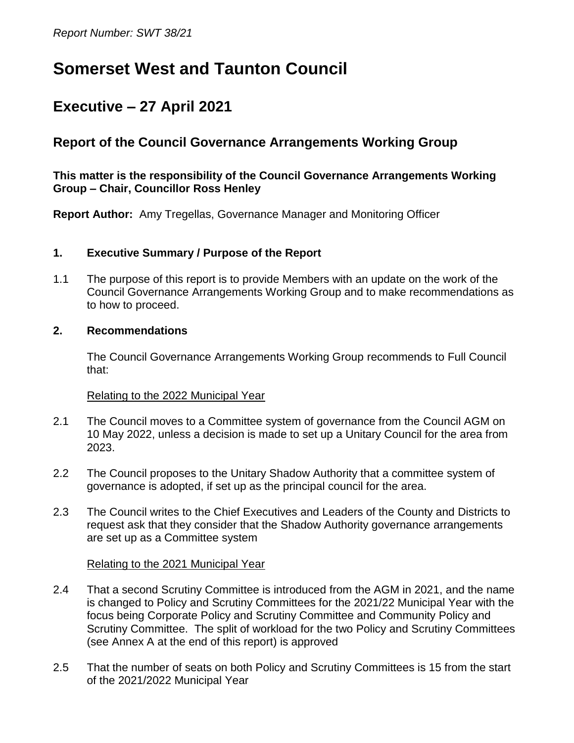# **Somerset West and Taunton Council**

## **Executive – 27 April 2021**

## **Report of the Council Governance Arrangements Working Group**

#### **This matter is the responsibility of the Council Governance Arrangements Working Group – Chair, Councillor Ross Henley**

**Report Author:** Amy Tregellas, Governance Manager and Monitoring Officer

#### **1. Executive Summary / Purpose of the Report**

1.1 The purpose of this report is to provide Members with an update on the work of the Council Governance Arrangements Working Group and to make recommendations as to how to proceed.

#### **2. Recommendations**

The Council Governance Arrangements Working Group recommends to Full Council that:

#### Relating to the 2022 Municipal Year

- 2.1 The Council moves to a Committee system of governance from the Council AGM on 10 May 2022, unless a decision is made to set up a Unitary Council for the area from 2023.
- 2.2 The Council proposes to the Unitary Shadow Authority that a committee system of governance is adopted, if set up as the principal council for the area.
- 2.3 The Council writes to the Chief Executives and Leaders of the County and Districts to request ask that they consider that the Shadow Authority governance arrangements are set up as a Committee system

#### Relating to the 2021 Municipal Year

- 2.4 That a second Scrutiny Committee is introduced from the AGM in 2021, and the name is changed to Policy and Scrutiny Committees for the 2021/22 Municipal Year with the focus being Corporate Policy and Scrutiny Committee and Community Policy and Scrutiny Committee. The split of workload for the two Policy and Scrutiny Committees (see Annex A at the end of this report) is approved
- 2.5 That the number of seats on both Policy and Scrutiny Committees is 15 from the start of the 2021/2022 Municipal Year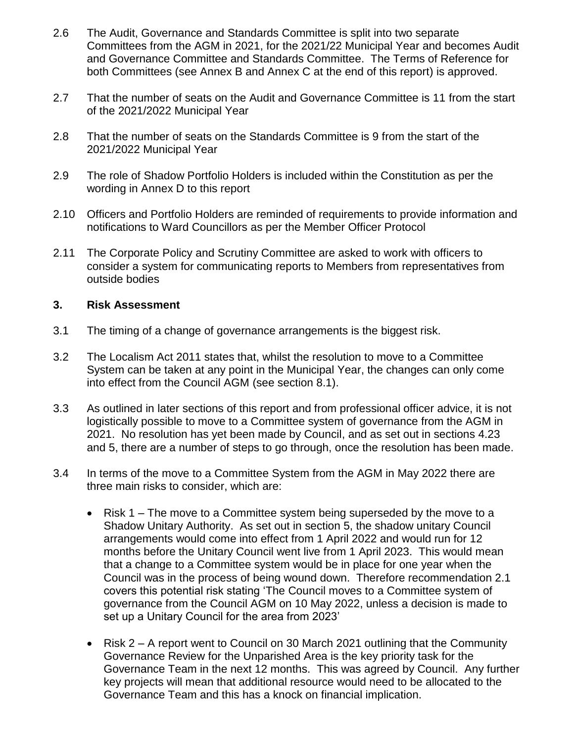- 2.6 The Audit, Governance and Standards Committee is split into two separate Committees from the AGM in 2021, for the 2021/22 Municipal Year and becomes Audit and Governance Committee and Standards Committee. The Terms of Reference for both Committees (see Annex B and Annex C at the end of this report) is approved.
- 2.7 That the number of seats on the Audit and Governance Committee is 11 from the start of the 2021/2022 Municipal Year
- 2.8 That the number of seats on the Standards Committee is 9 from the start of the 2021/2022 Municipal Year
- 2.9 The role of Shadow Portfolio Holders is included within the Constitution as per the wording in Annex D to this report
- 2.10 Officers and Portfolio Holders are reminded of requirements to provide information and notifications to Ward Councillors as per the Member Officer Protocol
- 2.11 The Corporate Policy and Scrutiny Committee are asked to work with officers to consider a system for communicating reports to Members from representatives from outside bodies

#### **3. Risk Assessment**

- 3.1 The timing of a change of governance arrangements is the biggest risk.
- 3.2 The Localism Act 2011 states that, whilst the resolution to move to a Committee System can be taken at any point in the Municipal Year, the changes can only come into effect from the Council AGM (see section 8.1).
- 3.3 As outlined in later sections of this report and from professional officer advice, it is not logistically possible to move to a Committee system of governance from the AGM in 2021. No resolution has yet been made by Council, and as set out in sections 4.23 and 5, there are a number of steps to go through, once the resolution has been made.
- 3.4 In terms of the move to a Committee System from the AGM in May 2022 there are three main risks to consider, which are:
	- Risk 1 The move to a Committee system being superseded by the move to a Shadow Unitary Authority. As set out in section 5, the shadow unitary Council arrangements would come into effect from 1 April 2022 and would run for 12 months before the Unitary Council went live from 1 April 2023. This would mean that a change to a Committee system would be in place for one year when the Council was in the process of being wound down. Therefore recommendation 2.1 covers this potential risk stating 'The Council moves to a Committee system of governance from the Council AGM on 10 May 2022, unless a decision is made to set up a Unitary Council for the area from 2023'
	- Risk 2 A report went to Council on 30 March 2021 outlining that the Community Governance Review for the Unparished Area is the key priority task for the Governance Team in the next 12 months. This was agreed by Council. Any further key projects will mean that additional resource would need to be allocated to the Governance Team and this has a knock on financial implication.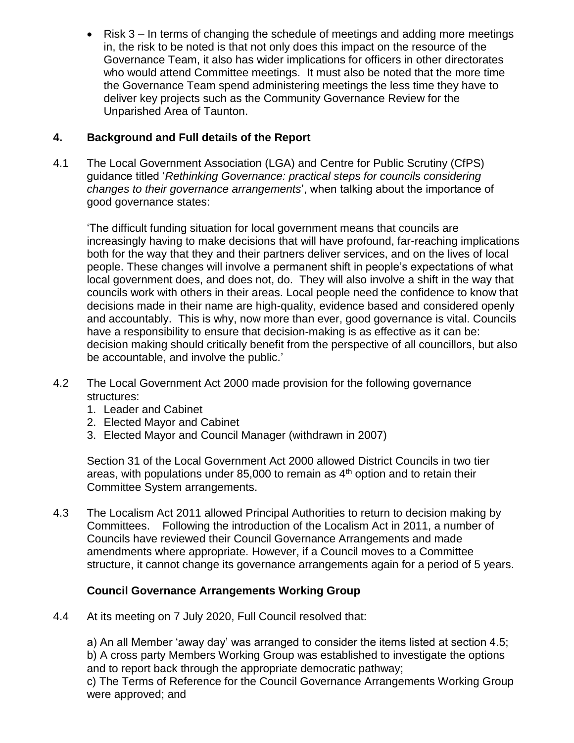• Risk 3 – In terms of changing the schedule of meetings and adding more meetings in, the risk to be noted is that not only does this impact on the resource of the Governance Team, it also has wider implications for officers in other directorates who would attend Committee meetings. It must also be noted that the more time the Governance Team spend administering meetings the less time they have to deliver key projects such as the Community Governance Review for the Unparished Area of Taunton.

#### **4. Background and Full details of the Report**

4.1 The Local Government Association (LGA) and Centre for Public Scrutiny (CfPS) guidance titled '*Rethinking Governance: practical steps for councils considering changes to their governance arrangements*', when talking about the importance of good governance states:

'The difficult funding situation for local government means that councils are increasingly having to make decisions that will have profound, far-reaching implications both for the way that they and their partners deliver services, and on the lives of local people. These changes will involve a permanent shift in people's expectations of what local government does, and does not, do. They will also involve a shift in the way that councils work with others in their areas. Local people need the confidence to know that decisions made in their name are high-quality, evidence based and considered openly and accountably. This is why, now more than ever, good governance is vital. Councils have a responsibility to ensure that decision-making is as effective as it can be: decision making should critically benefit from the perspective of all councillors, but also be accountable, and involve the public.'

- 4.2 The Local Government Act 2000 made provision for the following governance structures:
	- 1. Leader and Cabinet
	- 2. Elected Mayor and Cabinet
	- 3. Elected Mayor and Council Manager (withdrawn in 2007)

Section 31 of the Local Government Act 2000 allowed District Councils in two tier areas, with populations under 85,000 to remain as  $4<sup>th</sup>$  option and to retain their Committee System arrangements.

4.3 The Localism Act 2011 allowed Principal Authorities to return to decision making by Committees. Following the introduction of the Localism Act in 2011, a number of Councils have reviewed their Council Governance Arrangements and made amendments where appropriate. However, if a Council moves to a Committee structure, it cannot change its governance arrangements again for a period of 5 years.

#### **Council Governance Arrangements Working Group**

4.4 At its meeting on 7 July 2020, Full Council resolved that:

a) An all Member 'away day' was arranged to consider the items listed at section 4.5; b) A cross party Members Working Group was established to investigate the options and to report back through the appropriate democratic pathway;

c) The Terms of Reference for the Council Governance Arrangements Working Group were approved; and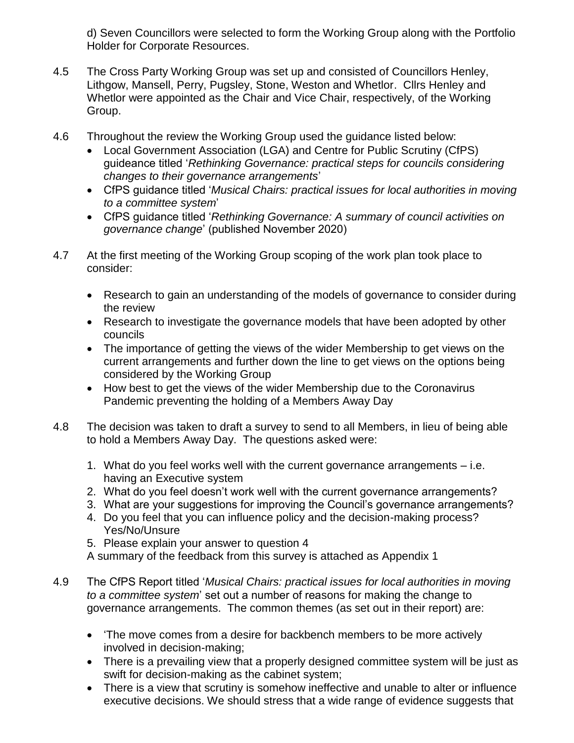d) Seven Councillors were selected to form the Working Group along with the Portfolio Holder for Corporate Resources.

- 4.5 The Cross Party Working Group was set up and consisted of Councillors Henley, Lithgow, Mansell, Perry, Pugsley, Stone, Weston and Whetlor. Cllrs Henley and Whetlor were appointed as the Chair and Vice Chair, respectively, of the Working Group.
- 4.6 Throughout the review the Working Group used the guidance listed below:
	- Local Government Association (LGA) and Centre for Public Scrutiny (CfPS) guideance titled '*Rethinking Governance: practical steps for councils considering changes to their governance arrangements*'
	- CfPS guidance titled '*Musical Chairs: practical issues for local authorities in moving to a committee system*'
	- CfPS guidance titled '*Rethinking Governance: A summary of council activities on governance change*' (published November 2020)
- 4.7 At the first meeting of the Working Group scoping of the work plan took place to consider:
	- Research to gain an understanding of the models of governance to consider during the review
	- Research to investigate the governance models that have been adopted by other councils
	- The importance of getting the views of the wider Membership to get views on the current arrangements and further down the line to get views on the options being considered by the Working Group
	- How best to get the views of the wider Membership due to the Coronavirus Pandemic preventing the holding of a Members Away Day
- 4.8 The decision was taken to draft a survey to send to all Members, in lieu of being able to hold a Members Away Day. The questions asked were:
	- 1. What do you feel works well with the current governance arrangements i.e. having an Executive system
	- 2. What do you feel doesn't work well with the current governance arrangements?
	- 3. What are your suggestions for improving the Council's governance arrangements?
	- 4. Do you feel that you can influence policy and the decision-making process? Yes/No/Unsure
	- 5. Please explain your answer to question 4
	- A summary of the feedback from this survey is attached as Appendix 1
- 4.9 The CfPS Report titled '*Musical Chairs: practical issues for local authorities in moving to a committee system*' set out a number of reasons for making the change to governance arrangements. The common themes (as set out in their report) are:
	- The move comes from a desire for backbench members to be more actively involved in decision-making;
	- There is a prevailing view that a properly designed committee system will be just as swift for decision-making as the cabinet system;
	- There is a view that scrutiny is somehow ineffective and unable to alter or influence executive decisions. We should stress that a wide range of evidence suggests that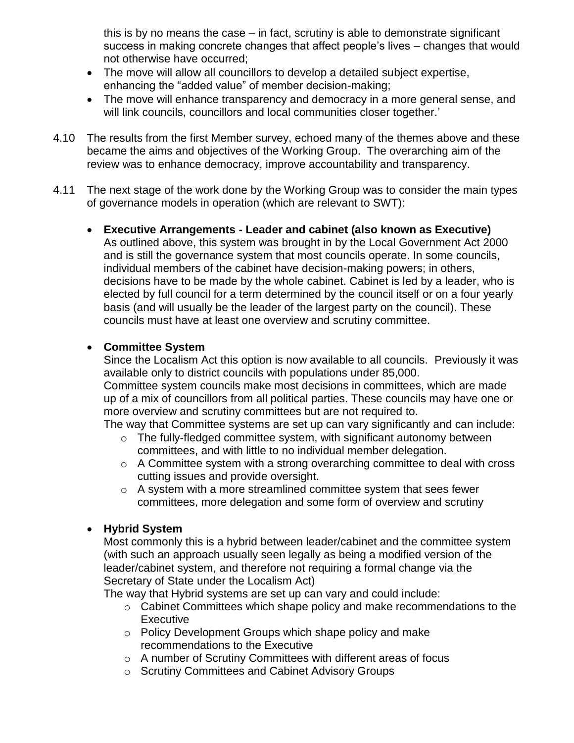this is by no means the case – in fact, scrutiny is able to demonstrate significant success in making concrete changes that affect people's lives – changes that would not otherwise have occurred;

- The move will allow all councillors to develop a detailed subject expertise, enhancing the "added value" of member decision-making;
- The move will enhance transparency and democracy in a more general sense, and will link councils, councillors and local communities closer together.'
- 4.10 The results from the first Member survey, echoed many of the themes above and these became the aims and objectives of the Working Group. The overarching aim of the review was to enhance democracy, improve accountability and transparency.
- 4.11 The next stage of the work done by the Working Group was to consider the main types of governance models in operation (which are relevant to SWT):
	- **Executive Arrangements - Leader and cabinet (also known as Executive)**  As outlined above, this system was brought in by the Local Government Act 2000 and is still the governance system that most councils operate. In some councils, individual members of the cabinet have decision-making powers; in others, decisions have to be made by the whole cabinet. Cabinet is led by a leader, who is elected by full council for a term determined by the council itself or on a four yearly basis (and will usually be the leader of the largest party on the council). These councils must have at least one overview and scrutiny committee.

#### **Committee System**

Since the Localism Act this option is now available to all councils. Previously it was available only to district councils with populations under 85,000. Committee system councils make most decisions in committees, which are made up of a mix of councillors from all political parties. These councils may have one or more overview and scrutiny committees but are not required to.

The way that Committee systems are set up can vary significantly and can include:

- $\circ$  The fully-fledged committee system, with significant autonomy between committees, and with little to no individual member delegation.
- $\circ$  A Committee system with a strong overarching committee to deal with cross cutting issues and provide oversight.
- $\circ$  A system with a more streamlined committee system that sees fewer committees, more delegation and some form of overview and scrutiny

#### **Hybrid System**

Most commonly this is a hybrid between leader/cabinet and the committee system (with such an approach usually seen legally as being a modified version of the leader/cabinet system, and therefore not requiring a formal change via the Secretary of State under the Localism Act)

The way that Hybrid systems are set up can vary and could include:

- o Cabinet Committees which shape policy and make recommendations to the **Executive**
- o Policy Development Groups which shape policy and make recommendations to the Executive
- o A number of Scrutiny Committees with different areas of focus
- o Scrutiny Committees and Cabinet Advisory Groups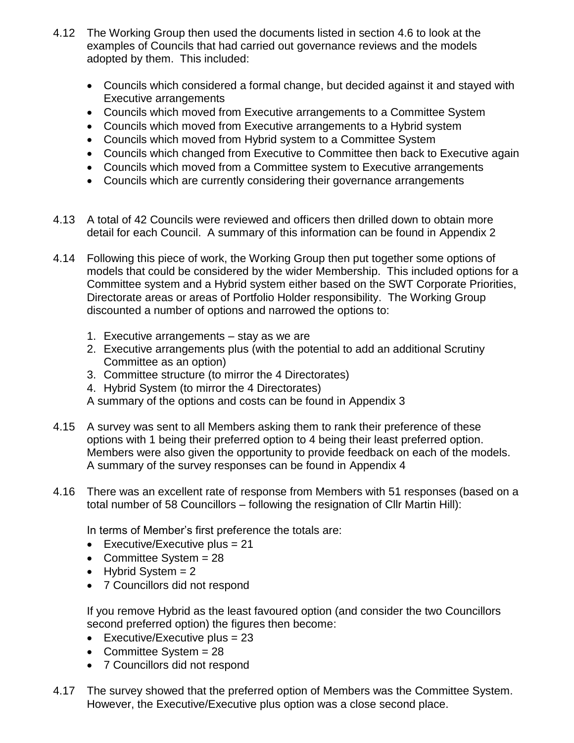- 4.12 The Working Group then used the documents listed in section 4.6 to look at the examples of Councils that had carried out governance reviews and the models adopted by them. This included:
	- Councils which considered a formal change, but decided against it and stayed with Executive arrangements
	- Councils which moved from Executive arrangements to a Committee System
	- Councils which moved from Executive arrangements to a Hybrid system
	- Councils which moved from Hybrid system to a Committee System
	- Councils which changed from Executive to Committee then back to Executive again
	- Councils which moved from a Committee system to Executive arrangements
	- Councils which are currently considering their governance arrangements
- 4.13 A total of 42 Councils were reviewed and officers then drilled down to obtain more detail for each Council. A summary of this information can be found in Appendix 2
- 4.14 Following this piece of work, the Working Group then put together some options of models that could be considered by the wider Membership. This included options for a Committee system and a Hybrid system either based on the SWT Corporate Priorities, Directorate areas or areas of Portfolio Holder responsibility. The Working Group discounted a number of options and narrowed the options to:
	- 1. Executive arrangements stay as we are
	- 2. Executive arrangements plus (with the potential to add an additional Scrutiny Committee as an option)
	- 3. Committee structure (to mirror the 4 Directorates)
	- 4. Hybrid System (to mirror the 4 Directorates)
	- A summary of the options and costs can be found in Appendix 3
- 4.15 A survey was sent to all Members asking them to rank their preference of these options with 1 being their preferred option to 4 being their least preferred option. Members were also given the opportunity to provide feedback on each of the models. A summary of the survey responses can be found in Appendix 4
- 4.16 There was an excellent rate of response from Members with 51 responses (based on a total number of 58 Councillors – following the resignation of Cllr Martin Hill):

In terms of Member's first preference the totals are:

- Executive/Executive plus =  $21$
- Committee System = 28
- $\bullet$  Hybrid System = 2
- 7 Councillors did not respond

If you remove Hybrid as the least favoured option (and consider the two Councillors second preferred option) the figures then become:

- Executive/Executive plus =  $23$
- Committee System = 28
- 7 Councillors did not respond
- 4.17 The survey showed that the preferred option of Members was the Committee System. However, the Executive/Executive plus option was a close second place.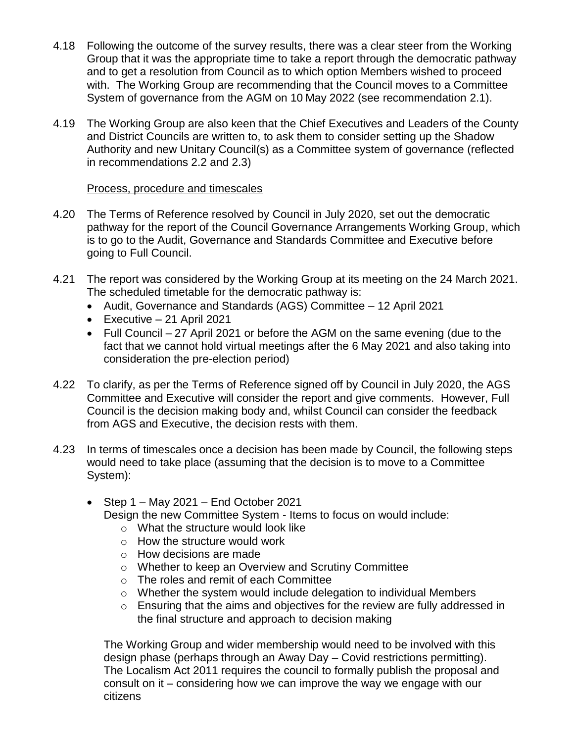- 4.18 Following the outcome of the survey results, there was a clear steer from the Working Group that it was the appropriate time to take a report through the democratic pathway and to get a resolution from Council as to which option Members wished to proceed with. The Working Group are recommending that the Council moves to a Committee System of governance from the AGM on 10 May 2022 (see recommendation 2.1).
- 4.19 The Working Group are also keen that the Chief Executives and Leaders of the County and District Councils are written to, to ask them to consider setting up the Shadow Authority and new Unitary Council(s) as a Committee system of governance (reflected in recommendations 2.2 and 2.3)

#### Process, procedure and timescales

- 4.20 The Terms of Reference resolved by Council in July 2020, set out the democratic pathway for the report of the Council Governance Arrangements Working Group, which is to go to the Audit, Governance and Standards Committee and Executive before going to Full Council.
- 4.21 The report was considered by the Working Group at its meeting on the 24 March 2021. The scheduled timetable for the democratic pathway is:
	- Audit, Governance and Standards (AGS) Committee 12 April 2021
	- $\bullet$  Executive 21 April 2021
	- Full Council 27 April 2021 or before the AGM on the same evening (due to the fact that we cannot hold virtual meetings after the 6 May 2021 and also taking into consideration the pre-election period)
- 4.22 To clarify, as per the Terms of Reference signed off by Council in July 2020, the AGS Committee and Executive will consider the report and give comments. However, Full Council is the decision making body and, whilst Council can consider the feedback from AGS and Executive, the decision rests with them.
- 4.23 In terms of timescales once a decision has been made by Council, the following steps would need to take place (assuming that the decision is to move to a Committee System):
	- $\bullet$  Step 1 May 2021 End October 2021 Design the new Committee System - Items to focus on would include:
		- $\circ$  What the structure would look like
		- $\circ$  How the structure would work
		- o How decisions are made
		- o Whether to keep an Overview and Scrutiny Committee
		- o The roles and remit of each Committee
		- o Whether the system would include delegation to individual Members
		- $\circ$  Ensuring that the aims and objectives for the review are fully addressed in the final structure and approach to decision making

The Working Group and wider membership would need to be involved with this design phase (perhaps through an Away Day – Covid restrictions permitting). The Localism Act 2011 requires the council to formally publish the proposal and consult on it – considering how we can improve the way we engage with our citizens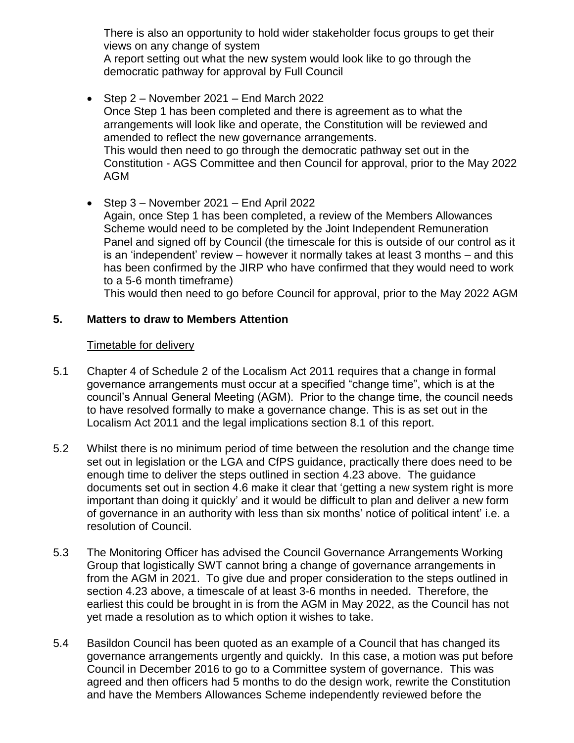There is also an opportunity to hold wider stakeholder focus groups to get their views on any change of system

A report setting out what the new system would look like to go through the democratic pathway for approval by Full Council

- Step 2 November 2021 End March 2022 Once Step 1 has been completed and there is agreement as to what the arrangements will look like and operate, the Constitution will be reviewed and amended to reflect the new governance arrangements. This would then need to go through the democratic pathway set out in the Constitution - AGS Committee and then Council for approval, prior to the May 2022 AGM
- Step 3 November 2021 End April 2022 Again, once Step 1 has been completed, a review of the Members Allowances Scheme would need to be completed by the Joint Independent Remuneration Panel and signed off by Council (the timescale for this is outside of our control as it is an 'independent' review – however it normally takes at least 3 months – and this has been confirmed by the JIRP who have confirmed that they would need to work to a 5-6 month timeframe)

This would then need to go before Council for approval, prior to the May 2022 AGM

#### **5. Matters to draw to Members Attention**

#### Timetable for delivery

- 5.1 Chapter 4 of Schedule 2 of the Localism Act 2011 requires that a change in formal governance arrangements must occur at a specified "change time", which is at the council's Annual General Meeting (AGM). Prior to the change time, the council needs to have resolved formally to make a governance change. This is as set out in the Localism Act 2011 and the legal implications section 8.1 of this report.
- 5.2 Whilst there is no minimum period of time between the resolution and the change time set out in legislation or the LGA and CfPS guidance, practically there does need to be enough time to deliver the steps outlined in section 4.23 above. The guidance documents set out in section 4.6 make it clear that 'getting a new system right is more important than doing it quickly' and it would be difficult to plan and deliver a new form of governance in an authority with less than six months' notice of political intent' i.e. a resolution of Council.
- 5.3 The Monitoring Officer has advised the Council Governance Arrangements Working Group that logistically SWT cannot bring a change of governance arrangements in from the AGM in 2021. To give due and proper consideration to the steps outlined in section 4.23 above, a timescale of at least 3-6 months in needed. Therefore, the earliest this could be brought in is from the AGM in May 2022, as the Council has not yet made a resolution as to which option it wishes to take.
- 5.4 Basildon Council has been quoted as an example of a Council that has changed its governance arrangements urgently and quickly. In this case, a motion was put before Council in December 2016 to go to a Committee system of governance. This was agreed and then officers had 5 months to do the design work, rewrite the Constitution and have the Members Allowances Scheme independently reviewed before the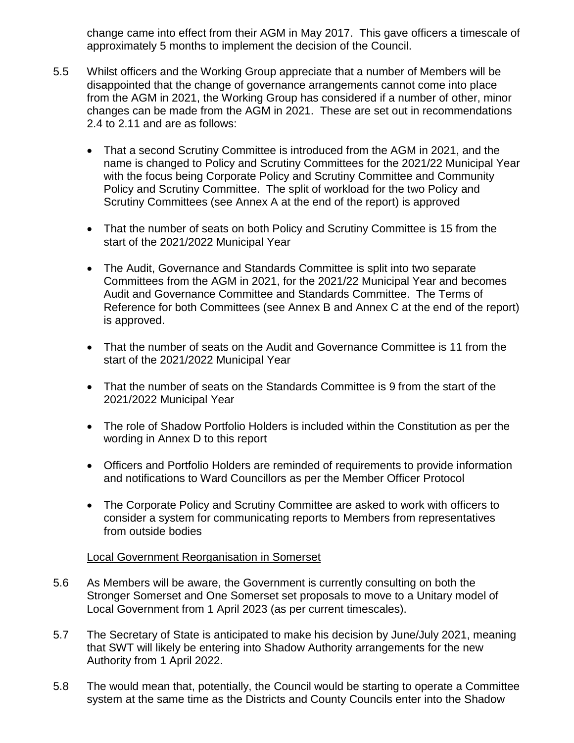change came into effect from their AGM in May 2017. This gave officers a timescale of approximately 5 months to implement the decision of the Council.

- 5.5 Whilst officers and the Working Group appreciate that a number of Members will be disappointed that the change of governance arrangements cannot come into place from the AGM in 2021, the Working Group has considered if a number of other, minor changes can be made from the AGM in 2021. These are set out in recommendations 2.4 to 2.11 and are as follows:
	- That a second Scrutiny Committee is introduced from the AGM in 2021, and the name is changed to Policy and Scrutiny Committees for the 2021/22 Municipal Year with the focus being Corporate Policy and Scrutiny Committee and Community Policy and Scrutiny Committee. The split of workload for the two Policy and Scrutiny Committees (see Annex A at the end of the report) is approved
	- That the number of seats on both Policy and Scrutiny Committee is 15 from the start of the 2021/2022 Municipal Year
	- The Audit, Governance and Standards Committee is split into two separate Committees from the AGM in 2021, for the 2021/22 Municipal Year and becomes Audit and Governance Committee and Standards Committee. The Terms of Reference for both Committees (see Annex B and Annex C at the end of the report) is approved.
	- That the number of seats on the Audit and Governance Committee is 11 from the start of the 2021/2022 Municipal Year
	- That the number of seats on the Standards Committee is 9 from the start of the 2021/2022 Municipal Year
	- The role of Shadow Portfolio Holders is included within the Constitution as per the wording in Annex D to this report
	- Officers and Portfolio Holders are reminded of requirements to provide information and notifications to Ward Councillors as per the Member Officer Protocol
	- The Corporate Policy and Scrutiny Committee are asked to work with officers to consider a system for communicating reports to Members from representatives from outside bodies

#### Local Government Reorganisation in Somerset

- 5.6 As Members will be aware, the Government is currently consulting on both the Stronger Somerset and One Somerset set proposals to move to a Unitary model of Local Government from 1 April 2023 (as per current timescales).
- 5.7 The Secretary of State is anticipated to make his decision by June/July 2021, meaning that SWT will likely be entering into Shadow Authority arrangements for the new Authority from 1 April 2022.
- 5.8 The would mean that, potentially, the Council would be starting to operate a Committee system at the same time as the Districts and County Councils enter into the Shadow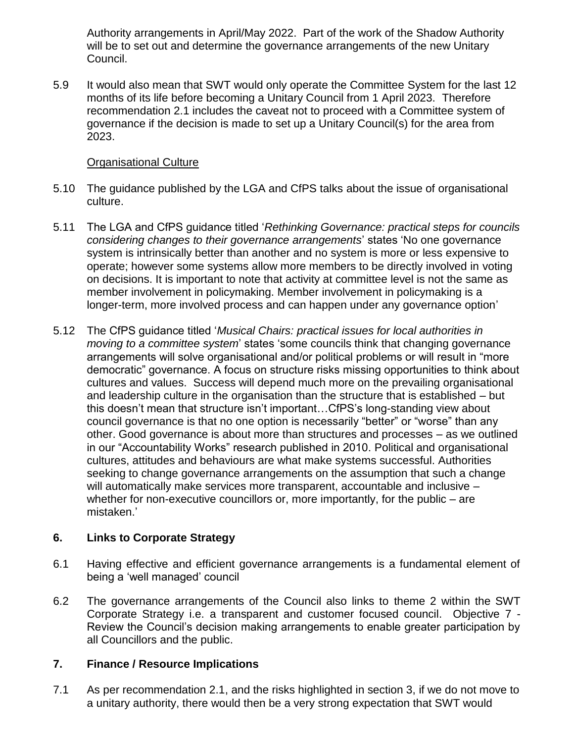Authority arrangements in April/May 2022. Part of the work of the Shadow Authority will be to set out and determine the governance arrangements of the new Unitary Council.

5.9 It would also mean that SWT would only operate the Committee System for the last 12 months of its life before becoming a Unitary Council from 1 April 2023. Therefore recommendation 2.1 includes the caveat not to proceed with a Committee system of governance if the decision is made to set up a Unitary Council(s) for the area from 2023.

#### Organisational Culture

- 5.10 The guidance published by the LGA and CfPS talks about the issue of organisational culture.
- 5.11 The LGA and CfPS guidance titled '*Rethinking Governance: practical steps for councils considering changes to their governance arrangements*' states 'No one governance system is intrinsically better than another and no system is more or less expensive to operate; however some systems allow more members to be directly involved in voting on decisions. It is important to note that activity at committee level is not the same as member involvement in policymaking. Member involvement in policymaking is a longer-term, more involved process and can happen under any governance option'
- 5.12 The CfPS guidance titled '*Musical Chairs: practical issues for local authorities in moving to a committee system*' states 'some councils think that changing governance arrangements will solve organisational and/or political problems or will result in "more democratic" governance. A focus on structure risks missing opportunities to think about cultures and values. Success will depend much more on the prevailing organisational and leadership culture in the organisation than the structure that is established – but this doesn't mean that structure isn't important…CfPS's long-standing view about council governance is that no one option is necessarily "better" or "worse" than any other. Good governance is about more than structures and processes – as we outlined in our "Accountability Works" research published in 2010. Political and organisational cultures, attitudes and behaviours are what make systems successful. Authorities seeking to change governance arrangements on the assumption that such a change will automatically make services more transparent, accountable and inclusive – whether for non-executive councillors or, more importantly, for the public – are mistaken.'

#### **6. Links to Corporate Strategy**

- 6.1 Having effective and efficient governance arrangements is a fundamental element of being a 'well managed' council
- 6.2 The governance arrangements of the Council also links to theme 2 within the SWT Corporate Strategy i.e. a transparent and customer focused council. Objective 7 - Review the Council's decision making arrangements to enable greater participation by all Councillors and the public.

#### **7. Finance / Resource Implications**

7.1 As per recommendation 2.1, and the risks highlighted in section 3, if we do not move to a unitary authority, there would then be a very strong expectation that SWT would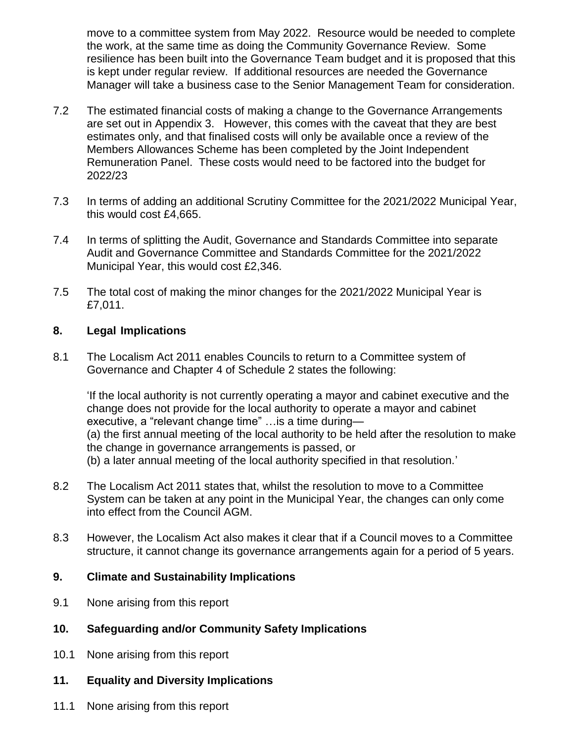move to a committee system from May 2022. Resource would be needed to complete the work, at the same time as doing the Community Governance Review. Some resilience has been built into the Governance Team budget and it is proposed that this is kept under regular review. If additional resources are needed the Governance Manager will take a business case to the Senior Management Team for consideration.

- 7.2 The estimated financial costs of making a change to the Governance Arrangements are set out in Appendix 3. However, this comes with the caveat that they are best estimates only, and that finalised costs will only be available once a review of the Members Allowances Scheme has been completed by the Joint Independent Remuneration Panel. These costs would need to be factored into the budget for 2022/23
- 7.3 In terms of adding an additional Scrutiny Committee for the 2021/2022 Municipal Year, this would cost £4,665.
- 7.4 In terms of splitting the Audit, Governance and Standards Committee into separate Audit and Governance Committee and Standards Committee for the 2021/2022 Municipal Year, this would cost £2,346.
- 7.5 The total cost of making the minor changes for the 2021/2022 Municipal Year is £7,011.

#### **8. Legal Implications**

8.1 The Localism Act 2011 enables Councils to return to a Committee system of Governance and Chapter 4 of Schedule 2 states the following:

'If the local authority is not currently operating a mayor and cabinet executive and the change does not provide for the local authority to operate a mayor and cabinet executive, a "relevant change time" …is a time during— (a) the first annual meeting of the local authority to be held after the resolution to make the change in governance arrangements is passed, or

(b) a later annual meeting of the local authority specified in that resolution.'

- 8.2 The Localism Act 2011 states that, whilst the resolution to move to a Committee System can be taken at any point in the Municipal Year, the changes can only come into effect from the Council AGM.
- 8.3 However, the Localism Act also makes it clear that if a Council moves to a Committee structure, it cannot change its governance arrangements again for a period of 5 years.

#### **9. Climate and Sustainability Implications**

- 9.1 None arising from this report
- **10. Safeguarding and/or Community Safety Implications**
- 10.1 None arising from this report
- **11. Equality and Diversity Implications**
- 11.1 None arising from this report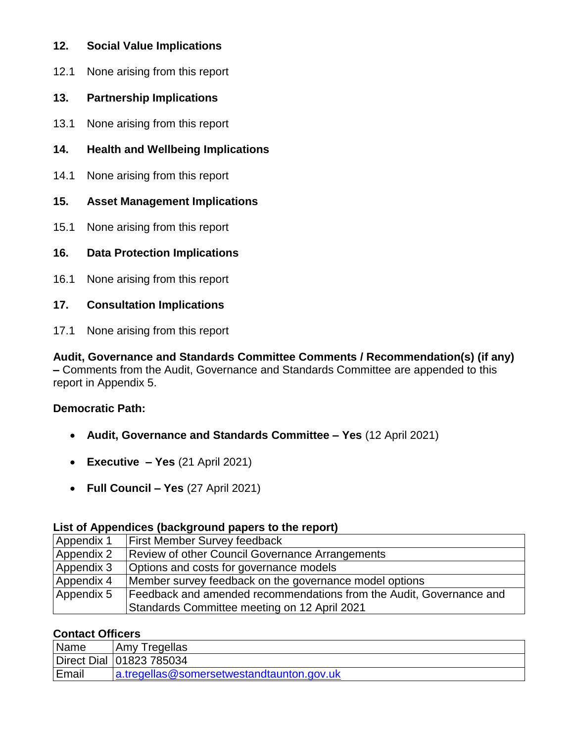- **12. Social Value Implications**
- 12.1 None arising from this report
- **13. Partnership Implications**
- 13.1 None arising from this report
- **14. Health and Wellbeing Implications**
- 14.1 None arising from this report
- **15. Asset Management Implications**
- 15.1 None arising from this report
- **16. Data Protection Implications**
- 16.1 None arising from this report
- **17. Consultation Implications**
- 17.1 None arising from this report

**Audit, Governance and Standards Committee Comments / Recommendation(s) (if any) –** Comments from the Audit, Governance and Standards Committee are appended to this report in Appendix 5.

#### **Democratic Path:**

- **Audit, Governance and Standards Committee – Yes** (12 April 2021)
- **Executive – Yes** (21 April 2021)
- **Full Council – Yes** (27 April 2021)

#### **List of Appendices (background papers to the report)**

| Appendix 1 | First Member Survey feedback                                        |
|------------|---------------------------------------------------------------------|
| Appendix 2 | <b>Review of other Council Governance Arrangements</b>              |
| Appendix 3 | Options and costs for governance models                             |
| Appendix 4 | Member survey feedback on the governance model options              |
| Appendix 5 | Feedback and amended recommendations from the Audit, Governance and |
|            | Standards Committee meeting on 12 April 2021                        |

#### **Contact Officers**

| Name  | Amy Tregellas                             |
|-------|-------------------------------------------|
|       | Direct Dial 101823 785034                 |
| Email | a.tregellas@somersetwestandtaunton.gov.uk |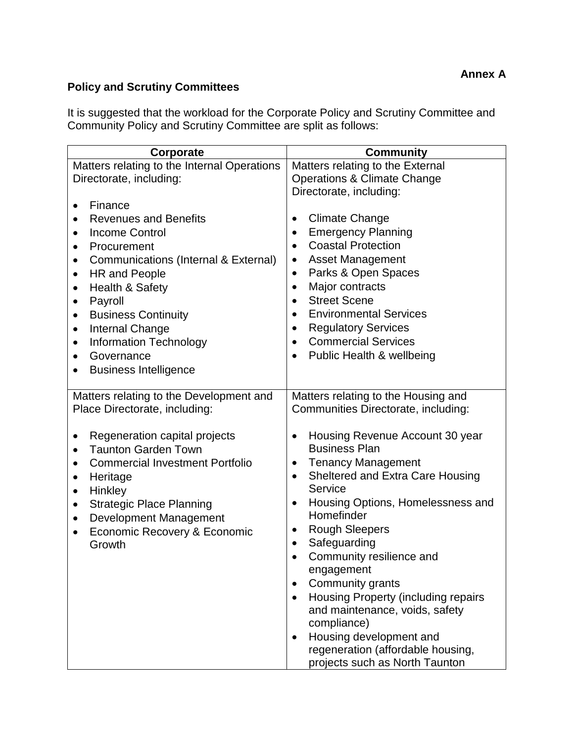## **Policy and Scrutiny Committees**

It is suggested that the workload for the Corporate Policy and Scrutiny Committee and Community Policy and Scrutiny Committee are split as follows:

| Corporate                                                                                                                                                                                                        | Community                                                                                                                                                                       |
|------------------------------------------------------------------------------------------------------------------------------------------------------------------------------------------------------------------|---------------------------------------------------------------------------------------------------------------------------------------------------------------------------------|
| Matters relating to the Internal Operations                                                                                                                                                                      | Matters relating to the External                                                                                                                                                |
| Directorate, including:                                                                                                                                                                                          | <b>Operations &amp; Climate Change</b>                                                                                                                                          |
|                                                                                                                                                                                                                  | Directorate, including:                                                                                                                                                         |
| Finance<br>$\bullet$                                                                                                                                                                                             |                                                                                                                                                                                 |
| <b>Revenues and Benefits</b>                                                                                                                                                                                     | <b>Climate Change</b><br>$\bullet$                                                                                                                                              |
| <b>Income Control</b><br>$\bullet$                                                                                                                                                                               | <b>Emergency Planning</b>                                                                                                                                                       |
| Procurement<br>$\bullet$                                                                                                                                                                                         | <b>Coastal Protection</b>                                                                                                                                                       |
| Communications (Internal & External)<br>$\bullet$                                                                                                                                                                | <b>Asset Management</b><br>٠                                                                                                                                                    |
| HR and People<br>$\bullet$                                                                                                                                                                                       | Parks & Open Spaces<br>$\bullet$                                                                                                                                                |
| Health & Safety<br>$\bullet$                                                                                                                                                                                     | Major contracts                                                                                                                                                                 |
| Payroll<br>$\bullet$                                                                                                                                                                                             | <b>Street Scene</b>                                                                                                                                                             |
| <b>Business Continuity</b><br>٠                                                                                                                                                                                  | <b>Environmental Services</b>                                                                                                                                                   |
| <b>Internal Change</b><br>$\bullet$                                                                                                                                                                              | <b>Regulatory Services</b><br>$\bullet$                                                                                                                                         |
| <b>Information Technology</b><br>$\bullet$                                                                                                                                                                       | <b>Commercial Services</b>                                                                                                                                                      |
| Governance<br>$\bullet$                                                                                                                                                                                          | Public Health & wellbeing                                                                                                                                                       |
| <b>Business Intelligence</b>                                                                                                                                                                                     |                                                                                                                                                                                 |
| Matters relating to the Development and<br>Place Directorate, including:<br>Regeneration capital projects<br>$\bullet$<br><b>Taunton Garden Town</b><br>$\bullet$<br><b>Commercial Investment Portfolio</b><br>٠ | Matters relating to the Housing and<br>Communities Directorate, including:<br>Housing Revenue Account 30 year<br><b>Business Plan</b><br><b>Tenancy Management</b><br>$\bullet$ |
| Heritage<br>$\bullet$<br>Hinkley<br>$\bullet$                                                                                                                                                                    | Sheltered and Extra Care Housing<br>$\bullet$<br>Service                                                                                                                        |
| <b>Strategic Place Planning</b><br>$\bullet$<br>Development Management<br>$\bullet$                                                                                                                              | Housing Options, Homelessness and<br>$\bullet$<br>Homefinder                                                                                                                    |
| Economic Recovery & Economic<br>$\bullet$                                                                                                                                                                        | <b>Rough Sleepers</b><br>$\bullet$                                                                                                                                              |
| Growth                                                                                                                                                                                                           | Safeguarding                                                                                                                                                                    |
|                                                                                                                                                                                                                  | Community resilience and                                                                                                                                                        |
|                                                                                                                                                                                                                  | engagement                                                                                                                                                                      |
|                                                                                                                                                                                                                  | Community grants                                                                                                                                                                |
|                                                                                                                                                                                                                  | Housing Property (including repairs<br>$\bullet$<br>and maintenance, voids, safety<br>compliance)                                                                               |
|                                                                                                                                                                                                                  | Housing development and<br>$\bullet$                                                                                                                                            |
|                                                                                                                                                                                                                  | regeneration (affordable housing,                                                                                                                                               |
|                                                                                                                                                                                                                  | projects such as North Taunton                                                                                                                                                  |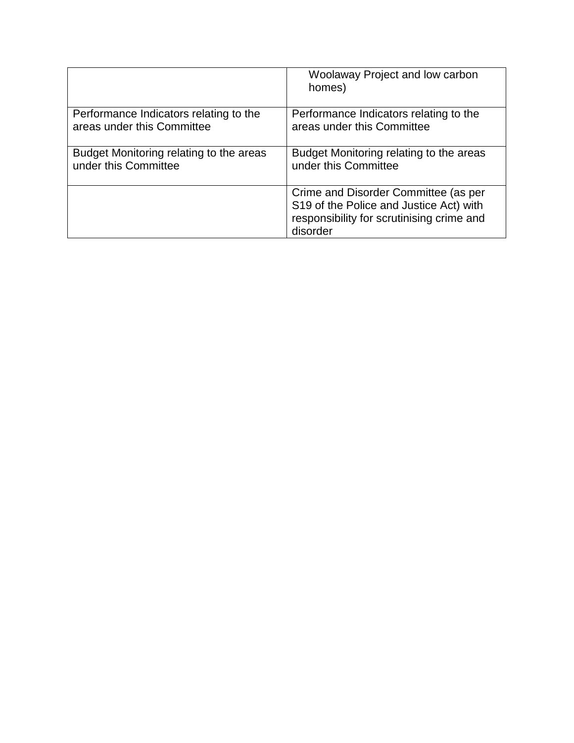|                                         | Woolaway Project and low carbon<br>homes)                                                                                                |
|-----------------------------------------|------------------------------------------------------------------------------------------------------------------------------------------|
| Performance Indicators relating to the  | Performance Indicators relating to the                                                                                                   |
| areas under this Committee              | areas under this Committee                                                                                                               |
| Budget Monitoring relating to the areas | Budget Monitoring relating to the areas                                                                                                  |
| under this Committee                    | under this Committee                                                                                                                     |
|                                         | Crime and Disorder Committee (as per<br>S19 of the Police and Justice Act) with<br>responsibility for scrutinising crime and<br>disorder |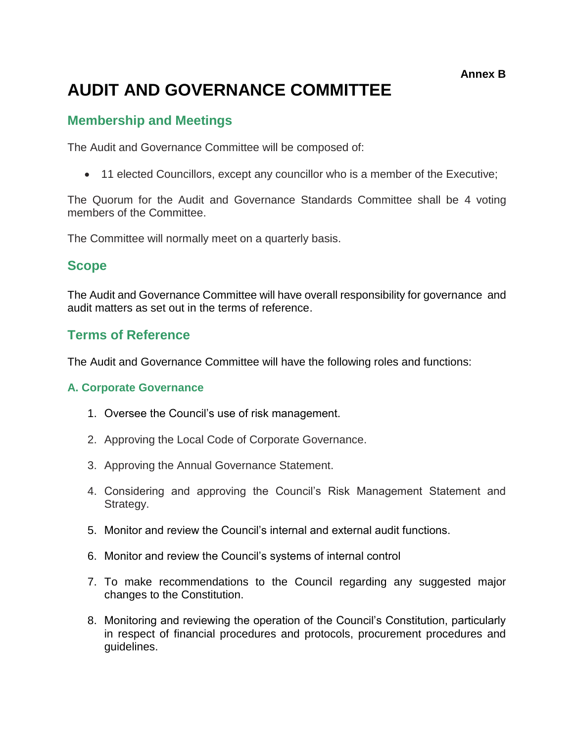**Annex B**

# **AUDIT AND GOVERNANCE COMMITTEE**

## **Membership and Meetings**

The Audit and Governance Committee will be composed of:

11 elected Councillors, except any councillor who is a member of the Executive;

The Quorum for the Audit and Governance Standards Committee shall be 4 voting members of the Committee.

The Committee will normally meet on a quarterly basis.

### **Scope**

The Audit and Governance Committee will have overall responsibility for governance and audit matters as set out in the terms of reference.

## **Terms of Reference**

The Audit and Governance Committee will have the following roles and functions:

#### **A. Corporate Governance**

- 1. Oversee the Council's use of risk management.
- 2. Approving the Local Code of Corporate Governance.
- 3. Approving the Annual Governance Statement.
- 4. Considering and approving the Council's Risk Management Statement and Strategy.
- 5. Monitor and review the Council's internal and external audit functions.
- 6. Monitor and review the Council's systems of internal control
- 7. To make recommendations to the Council regarding any suggested major changes to the Constitution.
- 8. Monitoring and reviewing the operation of the Council's Constitution, particularly in respect of financial procedures and protocols, procurement procedures and guidelines.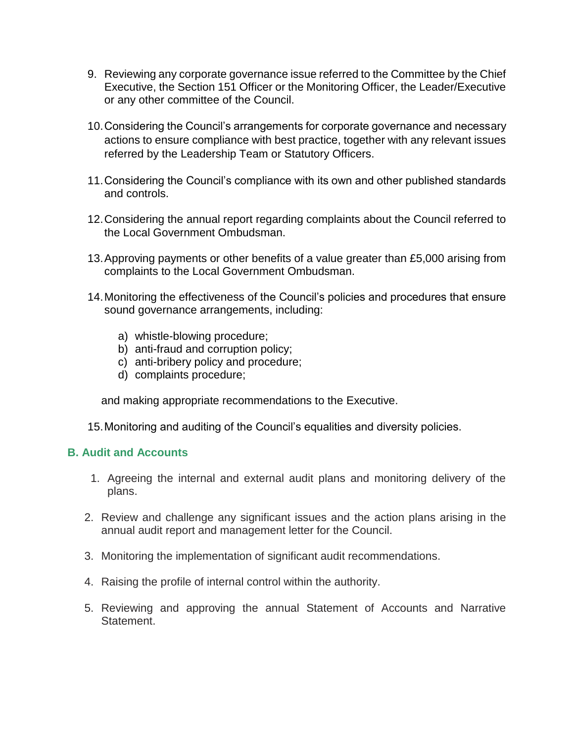- 9. Reviewing any corporate governance issue referred to the Committee by the Chief Executive, the Section 151 Officer or the Monitoring Officer, the Leader/Executive or any other committee of the Council.
- 10.Considering the Council's arrangements for corporate governance and necessary actions to ensure compliance with best practice, together with any relevant issues referred by the Leadership Team or Statutory Officers.
- 11.Considering the Council's compliance with its own and other published standards and controls.
- 12.Considering the annual report regarding complaints about the Council referred to the Local Government Ombudsman.
- 13.Approving payments or other benefits of a value greater than £5,000 arising from complaints to the Local Government Ombudsman.
- 14.Monitoring the effectiveness of the Council's policies and procedures that ensure sound governance arrangements, including:
	- a) whistle-blowing procedure;
	- b) anti-fraud and corruption policy;
	- c) anti-bribery policy and procedure;
	- d) complaints procedure;

and making appropriate recommendations to the Executive.

15.Monitoring and auditing of the Council's equalities and diversity policies.

#### **B. Audit and Accounts**

- 1. Agreeing the internal and external audit plans and monitoring delivery of the plans.
- 2. Review and challenge any significant issues and the action plans arising in the annual audit report and management letter for the Council.
- 3. Monitoring the implementation of significant audit recommendations.
- 4. Raising the profile of internal control within the authority.
- 5. Reviewing and approving the annual Statement of Accounts and Narrative Statement.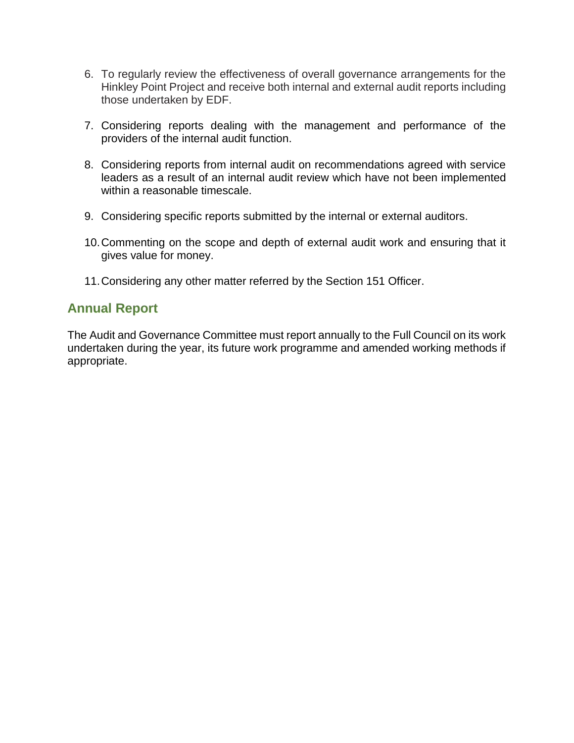- 6. To regularly review the effectiveness of overall governance arrangements for the Hinkley Point Project and receive both internal and external audit reports including those undertaken by EDF.
- 7. Considering reports dealing with the management and performance of the providers of the internal audit function.
- 8. Considering reports from internal audit on recommendations agreed with service leaders as a result of an internal audit review which have not been implemented within a reasonable timescale.
- 9. Considering specific reports submitted by the internal or external auditors.
- 10.Commenting on the scope and depth of external audit work and ensuring that it gives value for money.
- 11.Considering any other matter referred by the Section 151 Officer.

## **Annual Report**

The Audit and Governance Committee must report annually to the Full Council on its work undertaken during the year, its future work programme and amended working methods if appropriate.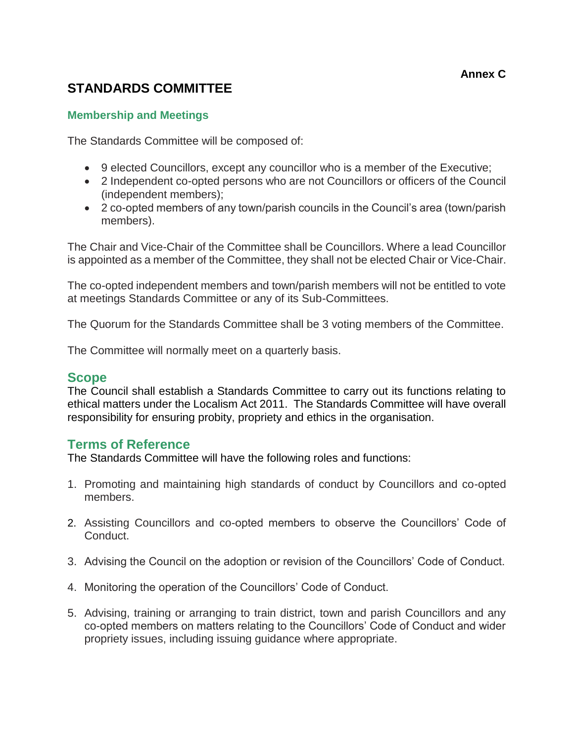#### **Annex C**

## **STANDARDS COMMITTEE**

#### **Membership and Meetings**

The Standards Committee will be composed of:

- 9 elected Councillors, except any councillor who is a member of the Executive;
- 2 Independent co-opted persons who are not Councillors or officers of the Council (independent members);
- 2 co-opted members of any town/parish councils in the Council's area (town/parish members).

The Chair and Vice-Chair of the Committee shall be Councillors. Where a lead Councillor is appointed as a member of the Committee, they shall not be elected Chair or Vice-Chair.

The co-opted independent members and town/parish members will not be entitled to vote at meetings Standards Committee or any of its Sub-Committees.

The Quorum for the Standards Committee shall be 3 voting members of the Committee.

The Committee will normally meet on a quarterly basis.

#### **Scope**

The Council shall establish a Standards Committee to carry out its functions relating to ethical matters under the Localism Act 2011. The Standards Committee will have overall responsibility for ensuring probity, propriety and ethics in the organisation.

#### **Terms of Reference**

The Standards Committee will have the following roles and functions:

- 1. Promoting and maintaining high standards of conduct by Councillors and co-opted members.
- 2. Assisting Councillors and co-opted members to observe the Councillors' Code of Conduct.
- 3. Advising the Council on the adoption or revision of the Councillors' Code of Conduct.
- 4. Monitoring the operation of the Councillors' Code of Conduct.
- 5. Advising, training or arranging to train district, town and parish Councillors and any co-opted members on matters relating to the Councillors' Code of Conduct and wider propriety issues, including issuing guidance where appropriate.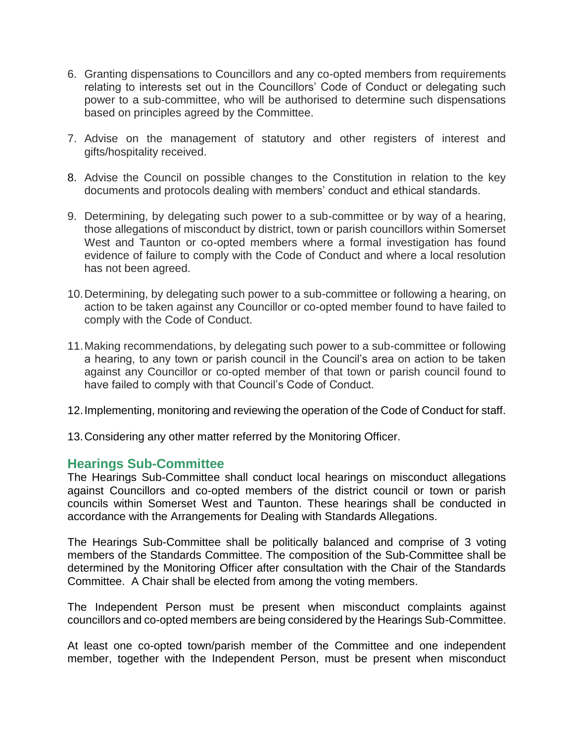- 6. Granting dispensations to Councillors and any co-opted members from requirements relating to interests set out in the Councillors' Code of Conduct or delegating such power to a sub-committee, who will be authorised to determine such dispensations based on principles agreed by the Committee.
- 7. Advise on the management of statutory and other registers of interest and gifts/hospitality received.
- 8. Advise the Council on possible changes to the Constitution in relation to the key documents and protocols dealing with members' conduct and ethical standards.
- 9. Determining, by delegating such power to a sub-committee or by way of a hearing, those allegations of misconduct by district, town or parish councillors within Somerset West and Taunton or co-opted members where a formal investigation has found evidence of failure to comply with the Code of Conduct and where a local resolution has not been agreed.
- 10.Determining, by delegating such power to a sub-committee or following a hearing, on action to be taken against any Councillor or co-opted member found to have failed to comply with the Code of Conduct.
- 11.Making recommendations, by delegating such power to a sub-committee or following a hearing, to any town or parish council in the Council's area on action to be taken against any Councillor or co-opted member of that town or parish council found to have failed to comply with that Council's Code of Conduct.
- 12.Implementing, monitoring and reviewing the operation of the Code of Conduct for staff.
- 13.Considering any other matter referred by the Monitoring Officer.

#### **Hearings Sub-Committee**

The Hearings Sub-Committee shall conduct local hearings on misconduct allegations against Councillors and co-opted members of the district council or town or parish councils within Somerset West and Taunton. These hearings shall be conducted in accordance with the Arrangements for Dealing with Standards Allegations.

The Hearings Sub-Committee shall be politically balanced and comprise of 3 voting members of the Standards Committee. The composition of the Sub-Committee shall be determined by the Monitoring Officer after consultation with the Chair of the Standards Committee. A Chair shall be elected from among the voting members.

The Independent Person must be present when misconduct complaints against councillors and co-opted members are being considered by the Hearings Sub-Committee.

At least one co-opted town/parish member of the Committee and one independent member, together with the Independent Person, must be present when misconduct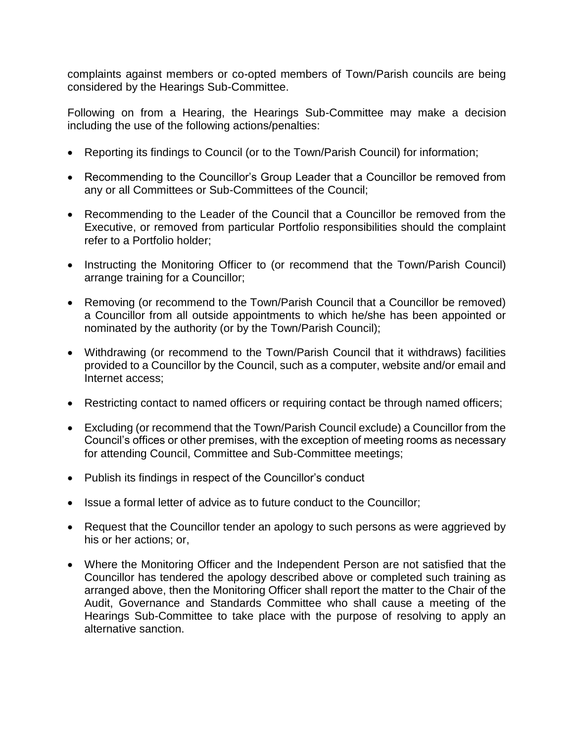complaints against members or co-opted members of Town/Parish councils are being considered by the Hearings Sub-Committee.

Following on from a Hearing, the Hearings Sub-Committee may make a decision including the use of the following actions/penalties:

- Reporting its findings to Council (or to the Town/Parish Council) for information;
- Recommending to the Councillor's Group Leader that a Councillor be removed from any or all Committees or Sub-Committees of the Council;
- Recommending to the Leader of the Council that a Councillor be removed from the Executive, or removed from particular Portfolio responsibilities should the complaint refer to a Portfolio holder;
- Instructing the Monitoring Officer to (or recommend that the Town/Parish Council) arrange training for a Councillor;
- Removing (or recommend to the Town/Parish Council that a Councillor be removed) a Councillor from all outside appointments to which he/she has been appointed or nominated by the authority (or by the Town/Parish Council);
- Withdrawing (or recommend to the Town/Parish Council that it withdraws) facilities provided to a Councillor by the Council, such as a computer, website and/or email and Internet access;
- Restricting contact to named officers or requiring contact be through named officers;
- Excluding (or recommend that the Town/Parish Council exclude) a Councillor from the Council's offices or other premises, with the exception of meeting rooms as necessary for attending Council, Committee and Sub-Committee meetings;
- Publish its findings in respect of the Councillor's conduct
- Issue a formal letter of advice as to future conduct to the Councillor;
- Request that the Councillor tender an apology to such persons as were aggrieved by his or her actions; or,
- Where the Monitoring Officer and the Independent Person are not satisfied that the Councillor has tendered the apology described above or completed such training as arranged above, then the Monitoring Officer shall report the matter to the Chair of the Audit, Governance and Standards Committee who shall cause a meeting of the Hearings Sub-Committee to take place with the purpose of resolving to apply an alternative sanction.